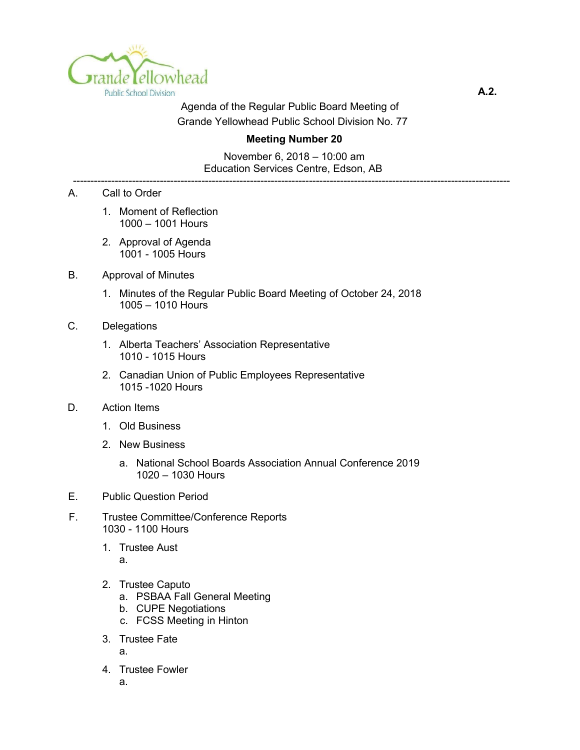

Agenda of the Regular Public Board Meeting of Grande Yellowhead Public School Division No. 77

## **Meeting Number 20**

November 6, 2018 – 10:00 am Education Services Centre, Edson, AB

------------------------------------------------------------------------------------------------------------------------------

- A. Call to Order
	- 1. Moment of Reflection 1000 – 1001 Hours
	- 2. Approval of Agenda 1001 - 1005 Hours
- B. Approval of Minutes
	- 1. Minutes of the Regular Public Board Meeting of October 24, 2018 1005 – 1010 Hours
- C. Delegations
	- 1. Alberta Teachers' Association Representative 1010 - 1015 Hours
	- 2. Canadian Union of Public Employees Representative 1015 -1020 Hours
- D. Action Items
	- 1. Old Business
	- 2. New Business
		- a. National School Boards Association Annual Conference 2019 1020 – 1030 Hours
- E. Public Question Period
- F. Trustee Committee/Conference Reports 1030 - 1100 Hours
	- 1. Trustee Aust

a.

- 2. Trustee Caputo
	- a. PSBAA Fall General Meeting
	- b. CUPE Negotiations
	- c. FCSS Meeting in Hinton
- 3. Trustee Fate

a.

4. Trustee Fowler

a.